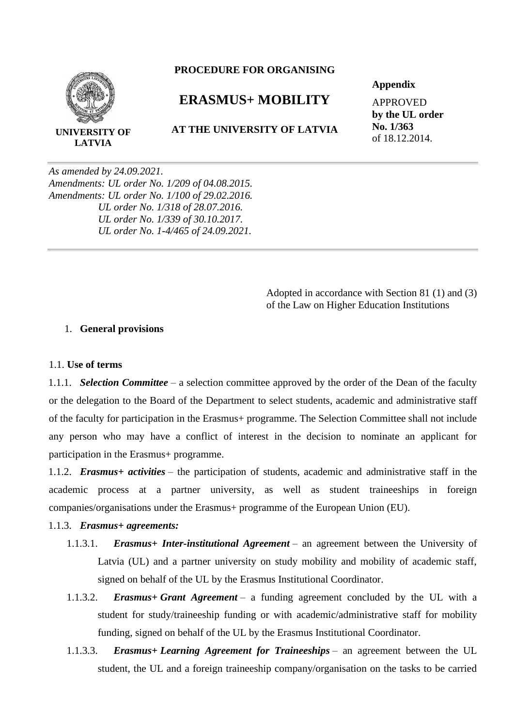

**LATVIA**

#### **PROCEDURE FOR ORGANISING**

# **ERASMUS+ MOBILITY**

#### **AT THE UNIVERSITY OF LATVIA**

#### **Appendix**

APPROVED **by the UL order No. 1/363** of 18.12.2014.

*As amended by 24.09.2021. Amendments: UL order No. 1/209 of 04.08.2015. Amendments: UL order No. 1/100 of 29.02.2016. UL order No. 1/318 of 28.07.2016. UL order No. 1/339 of 30.10.2017. UL order No. 1-4/465 of 24.09.2021.*

> Adopted in accordance with Section 81 (1) and (3) of the Law on Higher Education Institutions

#### 1. **General provisions**

#### 1.1. **Use of terms**

1.1.1. *Selection Committee* – a selection committee approved by the order of the Dean of the faculty or the delegation to the Board of the Department to select students, academic and administrative staff of the faculty for participation in the Erasmus+ programme. The Selection Committee shall not include any person who may have a conflict of interest in the decision to nominate an applicant for participation in the Erasmus+ programme.

1.1.2. *Erasmus+ activities* – the participation of students, academic and administrative staff in the academic process at a partner university, as well as student traineeships in foreign companies/organisations under the Erasmus+ programme of the European Union (EU).

#### 1.1.3. *Erasmus+ agreements:*

- 1.1.3.1. *Erasmus+ Inter-institutional Agreement* an agreement between the University of Latvia (UL) and a partner university on study mobility and mobility of academic staff, signed on behalf of the UL by the Erasmus Institutional Coordinator.
- 1.1.3.2. *Erasmus+ Grant Agreement* a funding agreement concluded by the UL with a student for study/traineeship funding or with academic/administrative staff for mobility funding, signed on behalf of the UL by the Erasmus Institutional Coordinator.
- 1.1.3.3. *Erasmus+ Learning Agreement for Traineeships* an agreement between the UL student, the UL and a foreign traineeship company/organisation on the tasks to be carried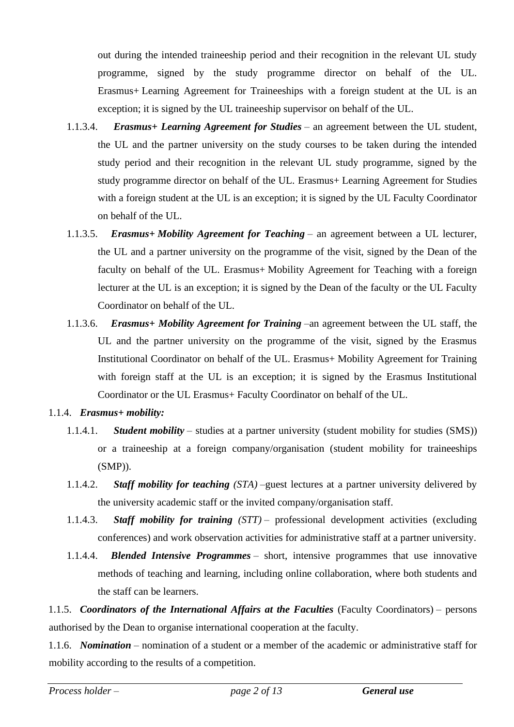out during the intended traineeship period and their recognition in the relevant UL study programme, signed by the study programme director on behalf of the UL. Erasmus+ Learning Agreement for Traineeships with a foreign student at the UL is an exception; it is signed by the UL traineeship supervisor on behalf of the UL.

- 1.1.3.4. *Erasmus+ Learning Agreement for Studies* an agreement between the UL student, the UL and the partner university on the study courses to be taken during the intended study period and their recognition in the relevant UL study programme, signed by the study programme director on behalf of the UL. Erasmus+ Learning Agreement for Studies with a foreign student at the UL is an exception; it is signed by the UL Faculty Coordinator on behalf of the UL.
- 1.1.3.5. *Erasmus+ Mobility Agreement for Teaching* an agreement between a UL lecturer, the UL and a partner university on the programme of the visit, signed by the Dean of the faculty on behalf of the UL. Erasmus+ Mobility Agreement for Teaching with a foreign lecturer at the UL is an exception; it is signed by the Dean of the faculty or the UL Faculty Coordinator on behalf of the UL.
- 1.1.3.6. *Erasmus+ Mobility Agreement for Training* –an agreement between the UL staff, the UL and the partner university on the programme of the visit, signed by the Erasmus Institutional Coordinator on behalf of the UL. Erasmus+ Mobility Agreement for Training with foreign staff at the UL is an exception; it is signed by the Erasmus Institutional Coordinator or the UL Erasmus+ Faculty Coordinator on behalf of the UL.

## 1.1.4. *Erasmus+ mobility:*

- 1.1.4.1. *Student mobility* studies at a partner university (student mobility for studies (SMS)) or a traineeship at a foreign company/organisation (student mobility for traineeships (SMP)).
- 1.1.4.2. *Staff mobility for teaching (STA)* –guest lectures at a partner university delivered by the university academic staff or the invited company/organisation staff.
- 1.1.4.3. *Staff mobility for training (STT)* professional development activities (excluding conferences) and work observation activities for administrative staff at a partner university.
- 1.1.4.4. *Blended Intensive Programmes* short, intensive programmes that use innovative methods of teaching and learning, including online collaboration, where both students and the staff can be learners.

1.1.5. *Coordinators of the International Affairs at the Faculties* (Faculty Coordinators) – persons authorised by the Dean to organise international cooperation at the faculty.

1.1.6. *Nomination* – nomination of a student or a member of the academic or administrative staff for mobility according to the results of a competition.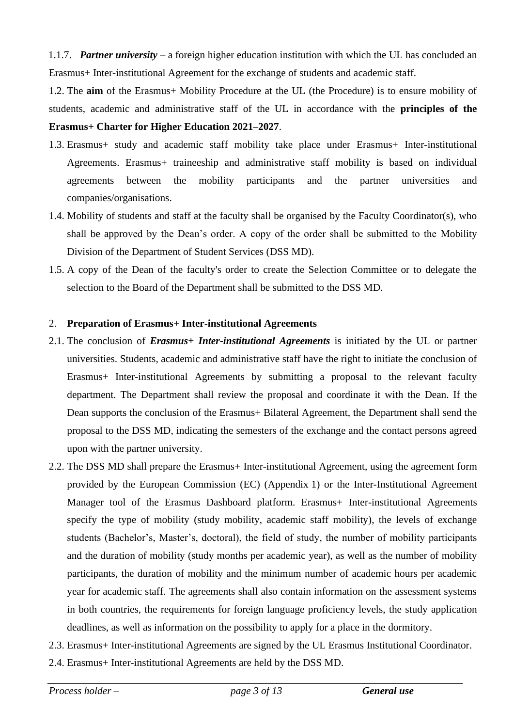1.1.7. *Partner university* – a foreign higher education institution with which the UL has concluded an Erasmus+ Inter-institutional Agreement for the exchange of students and academic staff.

1.2. The **aim** of the Erasmus+ Mobility Procedure at the UL (the Procedure) is to ensure mobility of students, academic and administrative staff of the UL in accordance with the **principles of the Erasmus+ Charter for Higher Education 2021–2027**.

- 1.3. Erasmus+ study and academic staff mobility take place under Erasmus+ Inter-institutional Agreements. Erasmus+ traineeship and administrative staff mobility is based on individual agreements between the mobility participants and the partner universities and companies/organisations.
- 1.4. Mobility of students and staff at the faculty shall be organised by the Faculty Coordinator(s), who shall be approved by the Dean's order. A copy of the order shall be submitted to the Mobility Division of the Department of Student Services (DSS MD).
- 1.5. A copy of the Dean of the faculty's order to create the Selection Committee or to delegate the selection to the Board of the Department shall be submitted to the DSS MD.

## 2. **Preparation of Erasmus+ Inter-institutional Agreements**

- 2.1. The conclusion of *Erasmus+ Inter-institutional Agreements* is initiated by the UL or partner universities. Students, academic and administrative staff have the right to initiate the conclusion of Erasmus+ Inter-institutional Agreements by submitting a proposal to the relevant faculty department. The Department shall review the proposal and coordinate it with the Dean. If the Dean supports the conclusion of the Erasmus+ Bilateral Agreement, the Department shall send the proposal to the DSS MD, indicating the semesters of the exchange and the contact persons agreed upon with the partner university.
- 2.2. The DSS MD shall prepare the Erasmus+ Inter-institutional Agreement, using the agreement form provided by the European Commission (EC) (Appendix 1) or the Inter-Institutional Agreement Manager tool of the Erasmus Dashboard platform. Erasmus+ Inter-institutional Agreements specify the type of mobility (study mobility, academic staff mobility), the levels of exchange students (Bachelor's, Master's, doctoral), the field of study, the number of mobility participants and the duration of mobility (study months per academic year), as well as the number of mobility participants, the duration of mobility and the minimum number of academic hours per academic year for academic staff. The agreements shall also contain information on the assessment systems in both countries, the requirements for foreign language proficiency levels, the study application deadlines, as well as information on the possibility to apply for a place in the dormitory.
- 2.3. Erasmus+ Inter-institutional Agreements are signed by the UL Erasmus Institutional Coordinator.
- 2.4. Erasmus+ Inter-institutional Agreements are held by the DSS MD.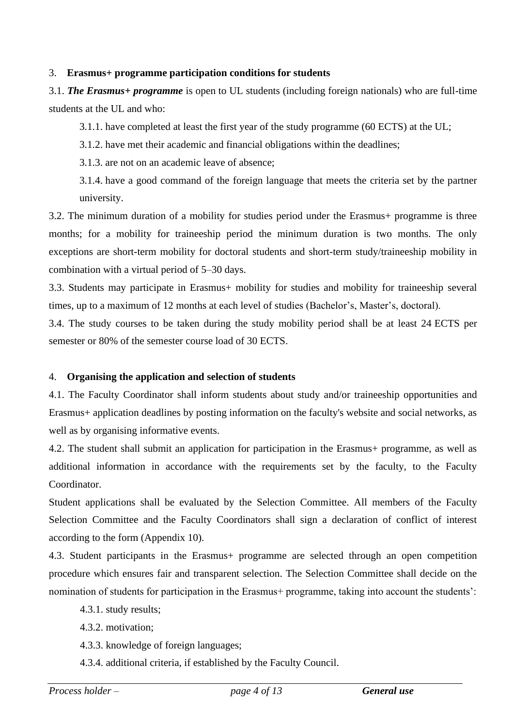#### 3. **Erasmus+ programme participation conditions for students**

3.1. *The Erasmus+ programme* is open to UL students (including foreign nationals) who are full-time students at the UL and who:

3.1.1. have completed at least the first year of the study programme (60 ECTS) at the UL;

3.1.2. have met their academic and financial obligations within the deadlines;

3.1.3. are not on an academic leave of absence;

3.1.4. have a good command of the foreign language that meets the criteria set by the partner university.

3.2. The minimum duration of a mobility for studies period under the Erasmus+ programme is three months; for a mobility for traineeship period the minimum duration is two months. The only exceptions are short-term mobility for doctoral students and short-term study/traineeship mobility in combination with a virtual period of 5–30 days.

3.3. Students may participate in Erasmus+ mobility for studies and mobility for traineeship several times, up to a maximum of 12 months at each level of studies (Bachelor's, Master's, doctoral).

3.4. The study courses to be taken during the study mobility period shall be at least 24 ECTS per semester or 80% of the semester course load of 30 ECTS.

## 4. **Organising the application and selection of students**

4.1. The Faculty Coordinator shall inform students about study and/or traineeship opportunities and Erasmus+ application deadlines by posting information on the faculty's website and social networks, as well as by organising informative events.

4.2. The student shall submit an application for participation in the Erasmus+ programme, as well as additional information in accordance with the requirements set by the faculty, to the Faculty Coordinator.

Student applications shall be evaluated by the Selection Committee. All members of the Faculty Selection Committee and the Faculty Coordinators shall sign a declaration of conflict of interest according to the form (Appendix 10).

4.3. Student participants in the Erasmus+ programme are selected through an open competition procedure which ensures fair and transparent selection. The Selection Committee shall decide on the nomination of students for participation in the Erasmus+ programme, taking into account the students':

- 4.3.1. study results;
- 4.3.2. motivation;
- 4.3.3. knowledge of foreign languages;
- 4.3.4. additional criteria, if established by the Faculty Council.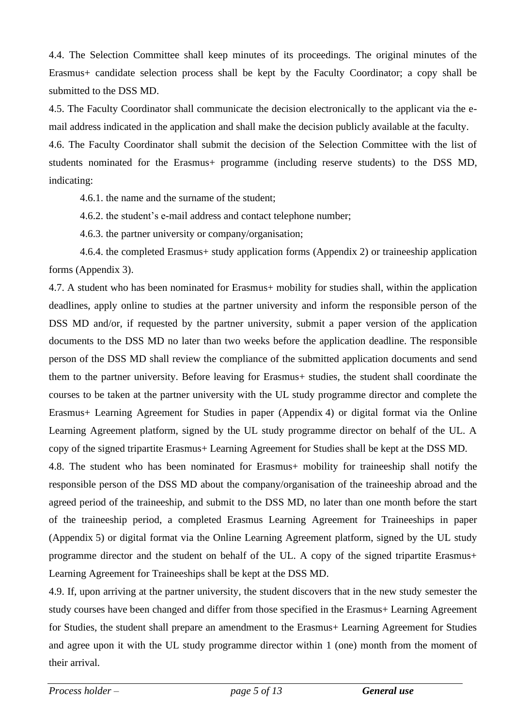4.4. The Selection Committee shall keep minutes of its proceedings. The original minutes of the Erasmus+ candidate selection process shall be kept by the Faculty Coordinator; a copy shall be submitted to the DSS MD.

4.5. The Faculty Coordinator shall communicate the decision electronically to the applicant via the email address indicated in the application and shall make the decision publicly available at the faculty.

4.6. The Faculty Coordinator shall submit the decision of the Selection Committee with the list of students nominated for the Erasmus+ programme (including reserve students) to the DSS MD, indicating:

4.6.1. the name and the surname of the student;

4.6.2. the student's e-mail address and contact telephone number;

4.6.3. the partner university or company/organisation;

4.6.4. the completed Erasmus+ study application forms (Appendix 2) or traineeship application forms (Appendix 3).

4.7. A student who has been nominated for Erasmus+ mobility for studies shall, within the application deadlines, apply online to studies at the partner university and inform the responsible person of the DSS MD and/or, if requested by the partner university, submit a paper version of the application documents to the DSS MD no later than two weeks before the application deadline. The responsible person of the DSS MD shall review the compliance of the submitted application documents and send them to the partner university. Before leaving for Erasmus+ studies, the student shall coordinate the courses to be taken at the partner university with the UL study programme director and complete the Erasmus+ Learning Agreement for Studies in paper (Appendix 4) or digital format via the Online Learning Agreement platform, signed by the UL study programme director on behalf of the UL. A copy of the signed tripartite Erasmus+ Learning Agreement for Studies shall be kept at the DSS MD.

4.8. The student who has been nominated for Erasmus+ mobility for traineeship shall notify the responsible person of the DSS MD about the company/organisation of the traineeship abroad and the agreed period of the traineeship, and submit to the DSS MD, no later than one month before the start of the traineeship period, a completed Erasmus Learning Agreement for Traineeships in paper (Appendix 5) or digital format via the Online Learning Agreement platform, signed by the UL study programme director and the student on behalf of the UL. A copy of the signed tripartite Erasmus+ Learning Agreement for Traineeships shall be kept at the DSS MD.

4.9. If, upon arriving at the partner university, the student discovers that in the new study semester the study courses have been changed and differ from those specified in the Erasmus+ Learning Agreement for Studies, the student shall prepare an amendment to the Erasmus+ Learning Agreement for Studies and agree upon it with the UL study programme director within 1 (one) month from the moment of their arrival.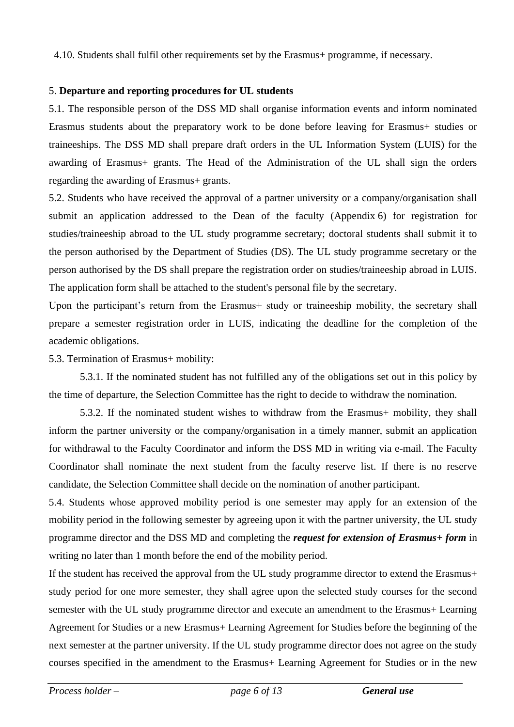4.10. Students shall fulfil other requirements set by the Erasmus+ programme, if necessary.

## 5. **Departure and reporting procedures for UL students**

5.1. The responsible person of the DSS MD shall organise information events and inform nominated Erasmus students about the preparatory work to be done before leaving for Erasmus+ studies or traineeships. The DSS MD shall prepare draft orders in the UL Information System (LUIS) for the awarding of Erasmus+ grants. The Head of the Administration of the UL shall sign the orders regarding the awarding of Erasmus+ grants.

5.2. Students who have received the approval of a partner university or a company/organisation shall submit an application addressed to the Dean of the faculty (Appendix 6) for registration for studies/traineeship abroad to the UL study programme secretary; doctoral students shall submit it to the person authorised by the Department of Studies (DS). The UL study programme secretary or the person authorised by the DS shall prepare the registration order on studies/traineeship abroad in LUIS. The application form shall be attached to the student's personal file by the secretary.

Upon the participant's return from the Erasmus+ study or traineeship mobility, the secretary shall prepare a semester registration order in LUIS, indicating the deadline for the completion of the academic obligations.

5.3. Termination of Erasmus+ mobility:

5.3.1. If the nominated student has not fulfilled any of the obligations set out in this policy by the time of departure, the Selection Committee has the right to decide to withdraw the nomination.

5.3.2. If the nominated student wishes to withdraw from the Erasmus+ mobility, they shall inform the partner university or the company/organisation in a timely manner, submit an application for withdrawal to the Faculty Coordinator and inform the DSS MD in writing via e-mail. The Faculty Coordinator shall nominate the next student from the faculty reserve list. If there is no reserve candidate, the Selection Committee shall decide on the nomination of another participant.

5.4. Students whose approved mobility period is one semester may apply for an extension of the mobility period in the following semester by agreeing upon it with the partner university, the UL study programme director and the DSS MD and completing the *request for extension of Erasmus+ form* in writing no later than 1 month before the end of the mobility period.

If the student has received the approval from the UL study programme director to extend the Erasmus+ study period for one more semester, they shall agree upon the selected study courses for the second semester with the UL study programme director and execute an amendment to the Erasmus+ Learning Agreement for Studies or a new Erasmus+ Learning Agreement for Studies before the beginning of the next semester at the partner university. If the UL study programme director does not agree on the study courses specified in the amendment to the Erasmus+ Learning Agreement for Studies or in the new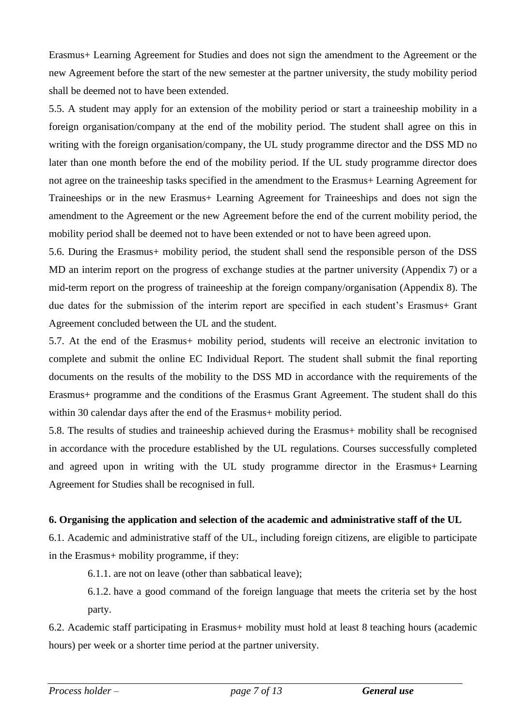Erasmus+ Learning Agreement for Studies and does not sign the amendment to the Agreement or the new Agreement before the start of the new semester at the partner university, the study mobility period shall be deemed not to have been extended.

5.5. A student may apply for an extension of the mobility period or start a traineeship mobility in a foreign organisation/company at the end of the mobility period. The student shall agree on this in writing with the foreign organisation/company, the UL study programme director and the DSS MD no later than one month before the end of the mobility period. If the UL study programme director does not agree on the traineeship tasks specified in the amendment to the Erasmus+ Learning Agreement for Traineeships or in the new Erasmus+ Learning Agreement for Traineeships and does not sign the amendment to the Agreement or the new Agreement before the end of the current mobility period, the mobility period shall be deemed not to have been extended or not to have been agreed upon.

5.6. During the Erasmus+ mobility period, the student shall send the responsible person of the DSS MD an interim report on the progress of exchange studies at the partner university (Appendix 7) or a mid-term report on the progress of traineeship at the foreign company/organisation (Appendix 8). The due dates for the submission of the interim report are specified in each student's Erasmus+ Grant Agreement concluded between the UL and the student.

5.7. At the end of the Erasmus+ mobility period, students will receive an electronic invitation to complete and submit the online EC Individual Report. The student shall submit the final reporting documents on the results of the mobility to the DSS MD in accordance with the requirements of the Erasmus+ programme and the conditions of the Erasmus Grant Agreement. The student shall do this within 30 calendar days after the end of the Erasmus+ mobility period.

5.8. The results of studies and traineeship achieved during the Erasmus+ mobility shall be recognised in accordance with the procedure established by the UL regulations. Courses successfully completed and agreed upon in writing with the UL study programme director in the Erasmus+ Learning Agreement for Studies shall be recognised in full.

## **6. Organising the application and selection of the academic and administrative staff of the UL**

6.1. Academic and administrative staff of the UL, including foreign citizens, are eligible to participate in the Erasmus+ mobility programme, if they:

6.1.1. are not on leave (other than sabbatical leave);

6.1.2. have a good command of the foreign language that meets the criteria set by the host party.

6.2. Academic staff participating in Erasmus+ mobility must hold at least 8 teaching hours (academic hours) per week or a shorter time period at the partner university.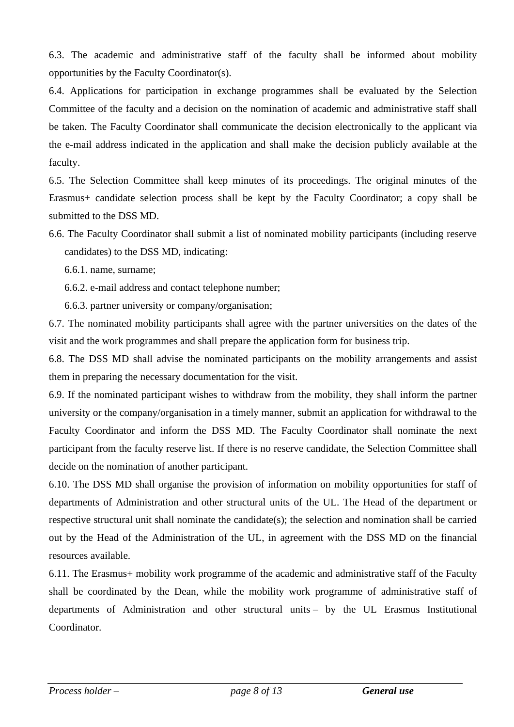6.3. The academic and administrative staff of the faculty shall be informed about mobility opportunities by the Faculty Coordinator(s).

6.4. Applications for participation in exchange programmes shall be evaluated by the Selection Committee of the faculty and a decision on the nomination of academic and administrative staff shall be taken. The Faculty Coordinator shall communicate the decision electronically to the applicant via the e-mail address indicated in the application and shall make the decision publicly available at the faculty.

6.5. The Selection Committee shall keep minutes of its proceedings. The original minutes of the Erasmus+ candidate selection process shall be kept by the Faculty Coordinator; a copy shall be submitted to the DSS MD.

6.6. The Faculty Coordinator shall submit a list of nominated mobility participants (including reserve candidates) to the DSS MD, indicating:

6.6.1. name, surname;

6.6.2. e-mail address and contact telephone number;

6.6.3. partner university or company/organisation;

6.7. The nominated mobility participants shall agree with the partner universities on the dates of the visit and the work programmes and shall prepare the application form for business trip.

6.8. The DSS MD shall advise the nominated participants on the mobility arrangements and assist them in preparing the necessary documentation for the visit.

6.9. If the nominated participant wishes to withdraw from the mobility, they shall inform the partner university or the company/organisation in a timely manner, submit an application for withdrawal to the Faculty Coordinator and inform the DSS MD. The Faculty Coordinator shall nominate the next participant from the faculty reserve list. If there is no reserve candidate, the Selection Committee shall decide on the nomination of another participant.

6.10. The DSS MD shall organise the provision of information on mobility opportunities for staff of departments of Administration and other structural units of the UL. The Head of the department or respective structural unit shall nominate the candidate(s); the selection and nomination shall be carried out by the Head of the Administration of the UL, in agreement with the DSS MD on the financial resources available.

6.11. The Erasmus+ mobility work programme of the academic and administrative staff of the Faculty shall be coordinated by the Dean, while the mobility work programme of administrative staff of departments of Administration and other structural units – by the UL Erasmus Institutional Coordinator.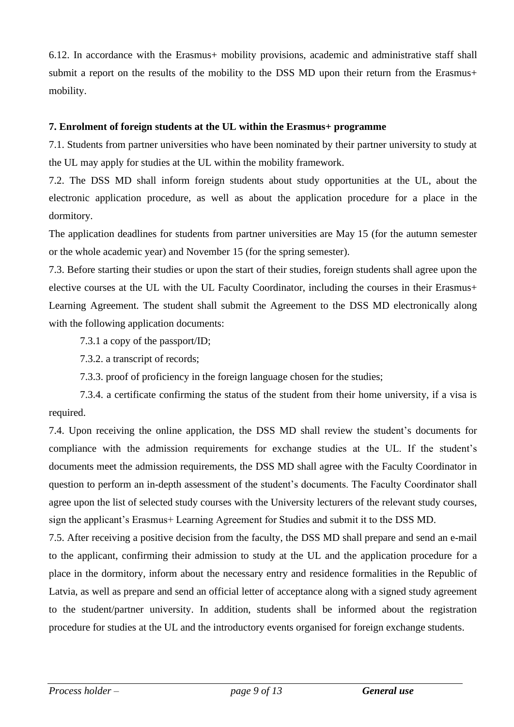6.12. In accordance with the Erasmus+ mobility provisions, academic and administrative staff shall submit a report on the results of the mobility to the DSS MD upon their return from the Erasmus+ mobility.

## **7. Enrolment of foreign students at the UL within the Erasmus+ programme**

7.1. Students from partner universities who have been nominated by their partner university to study at the UL may apply for studies at the UL within the mobility framework.

7.2. The DSS MD shall inform foreign students about study opportunities at the UL, about the electronic application procedure, as well as about the application procedure for a place in the dormitory.

The application deadlines for students from partner universities are May 15 (for the autumn semester or the whole academic year) and November 15 (for the spring semester).

7.3. Before starting their studies or upon the start of their studies, foreign students shall agree upon the elective courses at the UL with the UL Faculty Coordinator, including the courses in their Erasmus+ Learning Agreement. The student shall submit the Agreement to the DSS MD electronically along with the following application documents:

7.3.1 a copy of the passport/ID;

7.3.2. a transcript of records;

7.3.3. proof of proficiency in the foreign language chosen for the studies;

7.3.4. a certificate confirming the status of the student from their home university, if a visa is required.

7.4. Upon receiving the online application, the DSS MD shall review the student's documents for compliance with the admission requirements for exchange studies at the UL. If the student's documents meet the admission requirements, the DSS MD shall agree with the Faculty Coordinator in question to perform an in-depth assessment of the student's documents. The Faculty Coordinator shall agree upon the list of selected study courses with the University lecturers of the relevant study courses, sign the applicant's Erasmus+ Learning Agreement for Studies and submit it to the DSS MD.

7.5. After receiving a positive decision from the faculty, the DSS MD shall prepare and send an e-mail to the applicant, confirming their admission to study at the UL and the application procedure for a place in the dormitory, inform about the necessary entry and residence formalities in the Republic of Latvia, as well as prepare and send an official letter of acceptance along with a signed study agreement to the student/partner university. In addition, students shall be informed about the registration procedure for studies at the UL and the introductory events organised for foreign exchange students.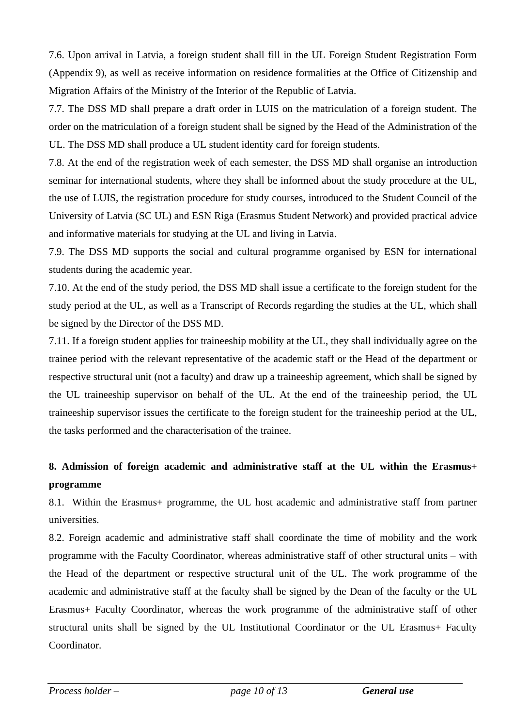7.6. Upon arrival in Latvia, a foreign student shall fill in the UL Foreign Student Registration Form (Appendix 9), as well as receive information on residence formalities at the Office of Citizenship and Migration Affairs of the Ministry of the Interior of the Republic of Latvia.

7.7. The DSS MD shall prepare a draft order in LUIS on the matriculation of a foreign student. The order on the matriculation of a foreign student shall be signed by the Head of the Administration of the UL. The DSS MD shall produce a UL student identity card for foreign students.

7.8. At the end of the registration week of each semester, the DSS MD shall organise an introduction seminar for international students, where they shall be informed about the study procedure at the UL, the use of LUIS, the registration procedure for study courses, introduced to the Student Council of the University of Latvia (SC UL) and ESN Riga (Erasmus Student Network) and provided practical advice and informative materials for studying at the UL and living in Latvia.

7.9. The DSS MD supports the social and cultural programme organised by ESN for international students during the academic year.

7.10. At the end of the study period, the DSS MD shall issue a certificate to the foreign student for the study period at the UL, as well as a Transcript of Records regarding the studies at the UL, which shall be signed by the Director of the DSS MD.

7.11. If a foreign student applies for traineeship mobility at the UL, they shall individually agree on the trainee period with the relevant representative of the academic staff or the Head of the department or respective structural unit (not a faculty) and draw up a traineeship agreement, which shall be signed by the UL traineeship supervisor on behalf of the UL. At the end of the traineeship period, the UL traineeship supervisor issues the certificate to the foreign student for the traineeship period at the UL, the tasks performed and the characterisation of the trainee.

# **8. Admission of foreign academic and administrative staff at the UL within the Erasmus+ programme**

8.1. Within the Erasmus+ programme, the UL host academic and administrative staff from partner universities.

8.2. Foreign academic and administrative staff shall coordinate the time of mobility and the work programme with the Faculty Coordinator, whereas administrative staff of other structural units – with the Head of the department or respective structural unit of the UL. The work programme of the academic and administrative staff at the faculty shall be signed by the Dean of the faculty or the UL Erasmus+ Faculty Coordinator, whereas the work programme of the administrative staff of other structural units shall be signed by the UL Institutional Coordinator or the UL Erasmus+ Faculty Coordinator.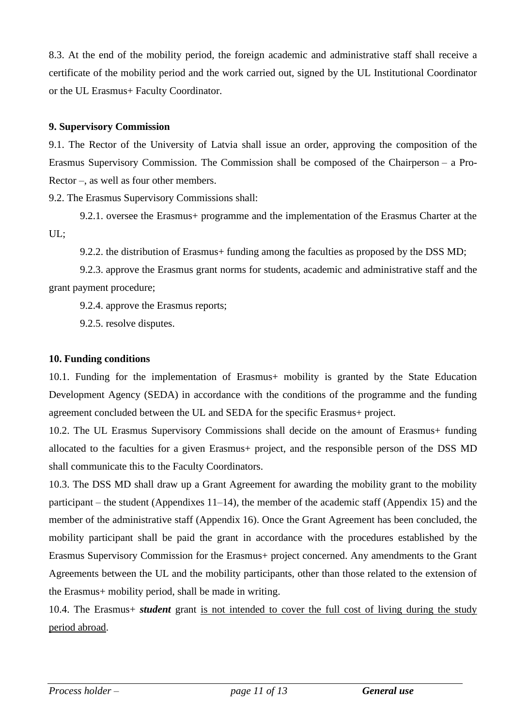8.3. At the end of the mobility period, the foreign academic and administrative staff shall receive a certificate of the mobility period and the work carried out, signed by the UL Institutional Coordinator or the UL Erasmus+ Faculty Coordinator.

## **9. Supervisory Commission**

9.1. The Rector of the University of Latvia shall issue an order, approving the composition of the Erasmus Supervisory Commission. The Commission shall be composed of the Chairperson – a Pro-Rector –, as well as four other members.

9.2. The Erasmus Supervisory Commissions shall:

9.2.1. oversee the Erasmus+ programme and the implementation of the Erasmus Charter at the UL;

9.2.2. the distribution of Erasmus+ funding among the faculties as proposed by the DSS MD;

9.2.3. approve the Erasmus grant norms for students, academic and administrative staff and the grant payment procedure;

9.2.4. approve the Erasmus reports;

9.2.5. resolve disputes.

## **10. Funding conditions**

10.1. Funding for the implementation of Erasmus+ mobility is granted by the State Education Development Agency (SEDA) in accordance with the conditions of the programme and the funding agreement concluded between the UL and SEDA for the specific Erasmus+ project.

10.2. The UL Erasmus Supervisory Commissions shall decide on the amount of Erasmus+ funding allocated to the faculties for a given Erasmus+ project, and the responsible person of the DSS MD shall communicate this to the Faculty Coordinators.

10.3. The DSS MD shall draw up a Grant Agreement for awarding the mobility grant to the mobility participant – the student (Appendixes  $11-14$ ), the member of the academic staff (Appendix 15) and the member of the administrative staff (Appendix 16). Once the Grant Agreement has been concluded, the mobility participant shall be paid the grant in accordance with the procedures established by the Erasmus Supervisory Commission for the Erasmus+ project concerned. Any amendments to the Grant Agreements between the UL and the mobility participants, other than those related to the extension of the Erasmus+ mobility period, shall be made in writing.

10.4. The Erasmus+ *student* grant is not intended to cover the full cost of living during the study period abroad.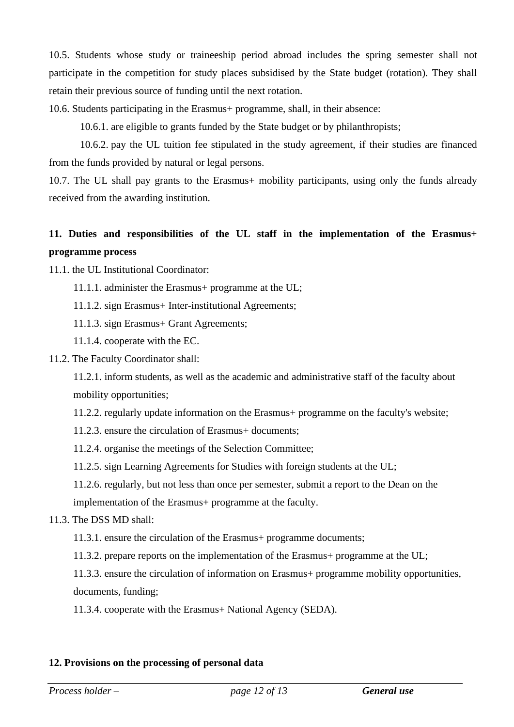10.5. Students whose study or traineeship period abroad includes the spring semester shall not participate in the competition for study places subsidised by the State budget (rotation). They shall retain their previous source of funding until the next rotation.

10.6. Students participating in the Erasmus+ programme, shall, in their absence:

10.6.1. are eligible to grants funded by the State budget or by philanthropists;

10.6.2. pay the UL tuition fee stipulated in the study agreement, if their studies are financed from the funds provided by natural or legal persons.

10.7. The UL shall pay grants to the Erasmus+ mobility participants, using only the funds already received from the awarding institution.

# **11. Duties and responsibilities of the UL staff in the implementation of the Erasmus+ programme process**

11.1. the UL Institutional Coordinator:

- 11.1.1. administer the Erasmus+ programme at the UL;
- 11.1.2. sign Erasmus+ Inter-institutional Agreements;
- 11.1.3. sign Erasmus+ Grant Agreements;
- 11.1.4. cooperate with the EC.
- 11.2. The Faculty Coordinator shall:

11.2.1. inform students, as well as the academic and administrative staff of the faculty about mobility opportunities;

11.2.2. regularly update information on the Erasmus+ programme on the faculty's website;

- 11.2.3. ensure the circulation of Erasmus+ documents;
- 11.2.4. organise the meetings of the Selection Committee;
- 11.2.5. sign Learning Agreements for Studies with foreign students at the UL;
- 11.2.6. regularly, but not less than once per semester, submit a report to the Dean on the

implementation of the Erasmus+ programme at the faculty.

## 11.3. The DSS MD shall:

11.3.1. ensure the circulation of the Erasmus+ programme documents;

11.3.2. prepare reports on the implementation of the Erasmus+ programme at the UL;

11.3.3. ensure the circulation of information on Erasmus+ programme mobility opportunities, documents, funding;

11.3.4. cooperate with the Erasmus+ National Agency (SEDA).

## **12. Provisions on the processing of personal data**